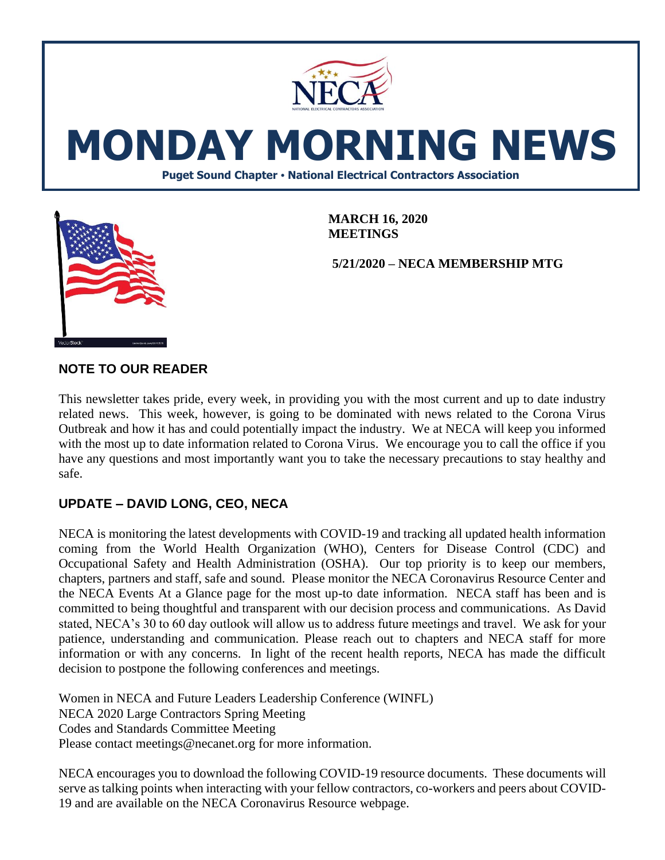

**MEETINGS**

**5/21/2020 – NECA MEMBERSHIP MTG**



**NOTE TO OUR READER**

This newsletter takes pride, every week, in providing you with the most current and up to date industry related news. This week, however, is going to be dominated with news related to the Corona Virus Outbreak and how it has and could potentially impact the industry. We at NECA will keep you informed with the most up to date information related to Corona Virus. We encourage you to call the office if you have any questions and most importantly want you to take the necessary precautions to stay healthy and safe.

# **UPDATE – DAVID LONG, CEO, NECA**

NECA is monitoring the latest developments with COVID-19 and tracking all updated health information coming from the World Health Organization (WHO), Centers for Disease Control (CDC) and Occupational Safety and Health Administration (OSHA). Our top priority is to keep our members, chapters, partners and staff, safe and sound. Please monitor the NECA Coronavirus Resource Center and the NECA Events At a Glance page for the most up-to date information. NECA staff has been and is committed to being thoughtful and transparent with our decision process and communications. As David stated, NECA's 30 to 60 day outlook will allow us to address future meetings and travel. We ask for your patience, understanding and communication. Please reach out to chapters and NECA staff for more information or with any concerns. In light of the recent health reports, NECA has made the difficult decision to postpone the following conferences and meetings.

Women in NECA and Future Leaders Leadership Conference (WINFL) NECA 2020 Large Contractors Spring Meeting Codes and Standards Committee Meeting Please contact meetings@necanet.org for more information.

NECA encourages you to download the following COVID-19 resource documents. These documents will serve as talking points when interacting with your fellow contractors, co-workers and peers about COVID-19 and are available on the NECA Coronavirus Resource webpage.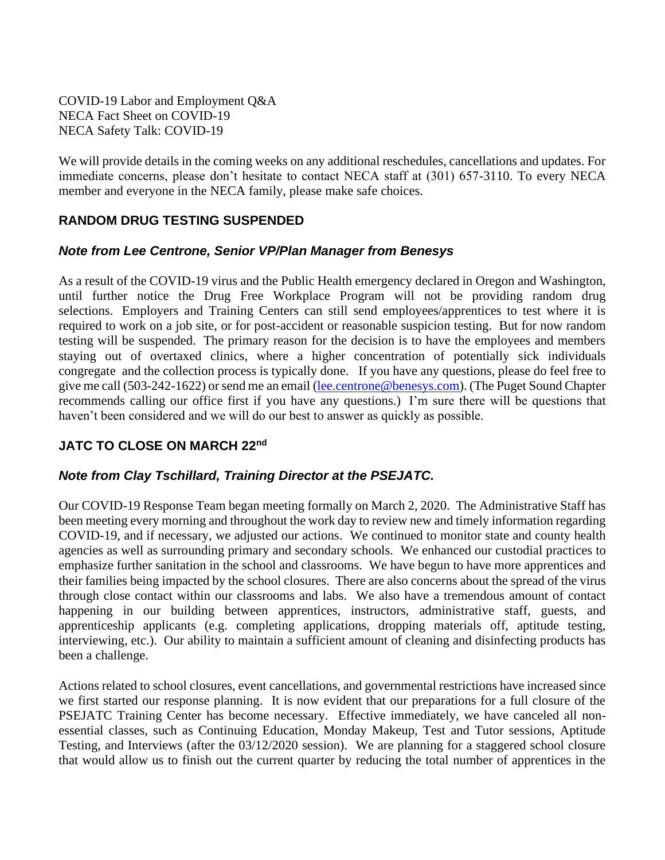COVID-19 Labor and Employment Q&A NECA Fact Sheet on COVID-19 NECA Safety Talk: COVID-19

We will provide details in the coming weeks on any additional reschedules, cancellations and updates. For immediate concerns, please don't hesitate to contact NECA staff at (301) 657-3110. To every NECA member and everyone in the NECA family, please make safe choices.

### **RANDOM DRUG TESTING SUSPENDED**

#### *Note from Lee Centrone, Senior VP/Plan Manager from Benesys*

As a result of the COVID-19 virus and the Public Health emergency declared in Oregon and Washington, until further notice the Drug Free Workplace Program will not be providing random drug selections. Employers and Training Centers can still send employees/apprentices to test where it is required to work on a job site, or for post-accident or reasonable suspicion testing. But for now random testing will be suspended. The primary reason for the decision is to have the employees and members staying out of overtaxed clinics, where a higher concentration of potentially sick individuals congregate and the collection process is typically done. If you have any questions, please do feel free to give me call (503-242-1622) or send me an email [\(lee.centrone@benesys.com\)](mailto:lee.centrone@benesys.com). (The Puget Sound Chapter recommends calling our office first if you have any questions.) I'm sure there will be questions that haven't been considered and we will do our best to answer as quickly as possible.

#### **JATC TO CLOSE ON MARCH 22nd**

#### *Note from Clay Tschillard, Training Director at the PSEJATC.*

Our COVID-19 Response Team began meeting formally on March 2, 2020. The Administrative Staff has been meeting every morning and throughout the work day to review new and timely information regarding COVID-19, and if necessary, we adjusted our actions. We continued to monitor state and county health agencies as well as surrounding primary and secondary schools. We enhanced our custodial practices to emphasize further sanitation in the school and classrooms. We have begun to have more apprentices and their families being impacted by the school closures. There are also concerns about the spread of the virus through close contact within our classrooms and labs. We also have a tremendous amount of contact happening in our building between apprentices, instructors, administrative staff, guests, and apprenticeship applicants (e.g. completing applications, dropping materials off, aptitude testing, interviewing, etc.). Our ability to maintain a sufficient amount of cleaning and disinfecting products has been a challenge.

Actions related to school closures, event cancellations, and governmental restrictions have increased since we first started our response planning. It is now evident that our preparations for a full closure of the PSEJATC Training Center has become necessary. Effective immediately, we have canceled all nonessential classes, such as Continuing Education, Monday Makeup, Test and Tutor sessions, Aptitude Testing, and Interviews (after the 03/12/2020 session). We are planning for a staggered school closure that would allow us to finish out the current quarter by reducing the total number of apprentices in the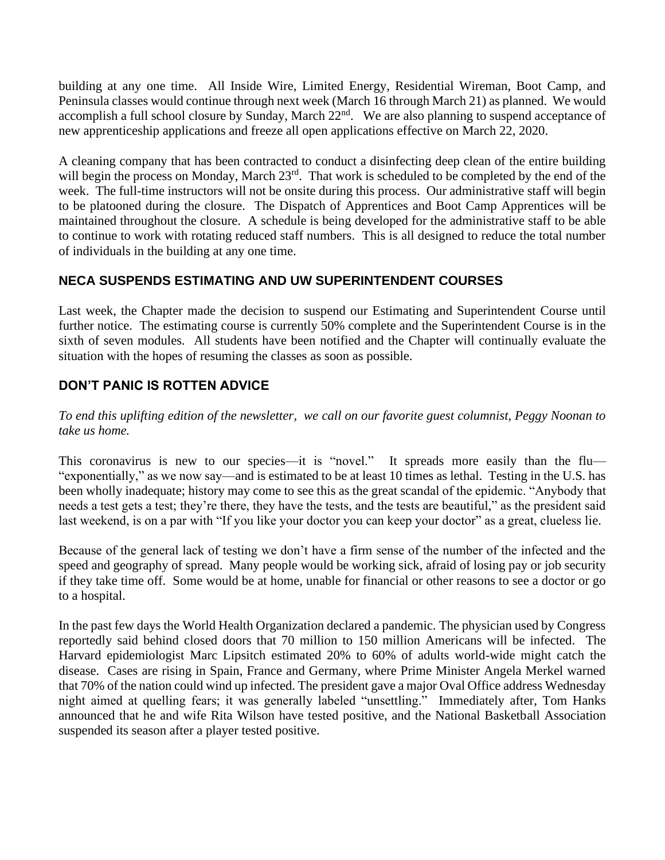building at any one time. All Inside Wire, Limited Energy, Residential Wireman, Boot Camp, and Peninsula classes would continue through next week (March 16 through March 21) as planned. We would accomplish a full school closure by Sunday, March 22<sup>nd</sup>. We are also planning to suspend acceptance of new apprenticeship applications and freeze all open applications effective on March 22, 2020.

A cleaning company that has been contracted to conduct a disinfecting deep clean of the entire building will begin the process on Monday, March  $23<sup>rd</sup>$ . That work is scheduled to be completed by the end of the week. The full-time instructors will not be onsite during this process. Our administrative staff will begin to be platooned during the closure. The Dispatch of Apprentices and Boot Camp Apprentices will be maintained throughout the closure. A schedule is being developed for the administrative staff to be able to continue to work with rotating reduced staff numbers. This is all designed to reduce the total number of individuals in the building at any one time.

### **NECA SUSPENDS ESTIMATING AND UW SUPERINTENDENT COURSES**

Last week, the Chapter made the decision to suspend our Estimating and Superintendent Course until further notice. The estimating course is currently 50% complete and the Superintendent Course is in the sixth of seven modules. All students have been notified and the Chapter will continually evaluate the situation with the hopes of resuming the classes as soon as possible.

## **DON'T PANIC IS ROTTEN ADVICE**

#### *To end this uplifting edition of the newsletter, we call on our favorite guest columnist, Peggy Noonan to take us home.*

This coronavirus is new to our species—it is "novel." It spreads more easily than the flu— "exponentially," as we now say—and is estimated to be at least 10 times as lethal. Testing in the U.S. has been wholly inadequate; history may come to see this as the great scandal of the epidemic. "Anybody that needs a test gets a test; they're there, they have the tests, and the tests are beautiful," as the president said last weekend, is on a par with "If you like your doctor you can keep your doctor" as a great, clueless lie.

Because of the general lack of testing we don't have a firm sense of the number of the infected and the speed and geography of spread. Many people would be working sick, afraid of losing pay or job security if they take time off. Some would be at home, unable for financial or other reasons to see a doctor or go to a hospital.

In the past few days the World Health Organization declared a pandemic. The physician used by Congress reportedly said behind closed doors that 70 million to 150 million Americans will be infected. The Harvard epidemiologist Marc Lipsitch estimated 20% to 60% of adults world-wide might catch the disease. Cases are rising in Spain, France and Germany, where Prime Minister Angela Merkel warned that 70% of the nation could wind up infected. The president gave a major Oval Office address Wednesday night aimed at quelling fears; it was generally labeled "unsettling." Immediately after, Tom Hanks announced that he and wife Rita Wilson have tested positive, and the National Basketball Association suspended its season after a player tested positive.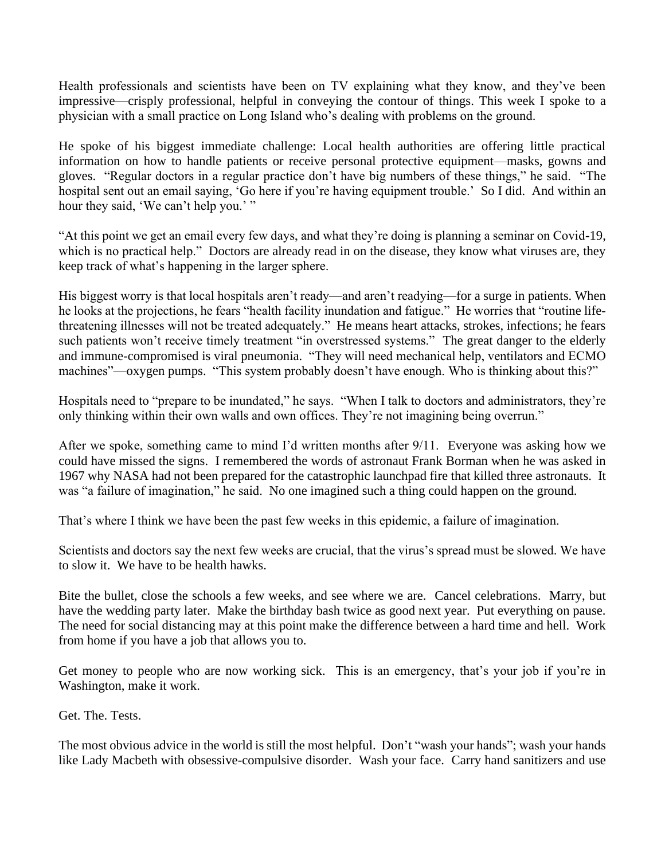Health professionals and scientists have been on TV explaining what they know, and they've been impressive—crisply professional, helpful in conveying the contour of things. This week I spoke to a physician with a small practice on Long Island who's dealing with problems on the ground.

He spoke of his biggest immediate challenge: Local health authorities are offering little practical information on how to handle patients or receive personal protective equipment—masks, gowns and gloves. "Regular doctors in a regular practice don't have big numbers of these things," he said. "The hospital sent out an email saying, 'Go here if you're having equipment trouble.' So I did. And within an hour they said, 'We can't help you.' "

"At this point we get an email every few days, and what they're doing is planning a seminar on Covid-19, which is no practical help." Doctors are already read in on the disease, they know what viruses are, they keep track of what's happening in the larger sphere.

His biggest worry is that local hospitals aren't ready—and aren't readying—for a surge in patients. When he looks at the projections, he fears "health facility inundation and fatigue." He worries that "routine lifethreatening illnesses will not be treated adequately." He means heart attacks, strokes, infections; he fears such patients won't receive timely treatment "in overstressed systems." The great danger to the elderly and immune-compromised is viral pneumonia. "They will need mechanical help, ventilators and ECMO machines"—oxygen pumps. "This system probably doesn't have enough. Who is thinking about this?"

Hospitals need to "prepare to be inundated," he says. "When I talk to doctors and administrators, they're only thinking within their own walls and own offices. They're not imagining being overrun."

After we spoke, something came to mind I'd written months after 9/11. Everyone was asking how we could have missed the signs. I remembered the words of astronaut Frank Borman when he was asked in 1967 why NASA had not been prepared for the catastrophic launchpad fire that killed three astronauts. It was "a failure of imagination," he said. No one imagined such a thing could happen on the ground.

That's where I think we have been the past few weeks in this epidemic, a failure of imagination.

Scientists and doctors say the next few weeks are crucial, that the virus's spread must be slowed. We have to slow it. We have to be health hawks.

Bite the bullet, close the schools a few weeks, and see where we are. Cancel celebrations. Marry, but have the wedding party later. Make the birthday bash twice as good next year. Put everything on pause. The need for social distancing may at this point make the difference between a hard time and hell. Work from home if you have a job that allows you to.

Get money to people who are now working sick. This is an emergency, that's your job if you're in Washington, make it work.

Get. The. Tests.

The most obvious advice in the world is still the most helpful. Don't "wash your hands"; wash your hands like Lady Macbeth with obsessive-compulsive disorder. Wash your face. Carry hand sanitizers and use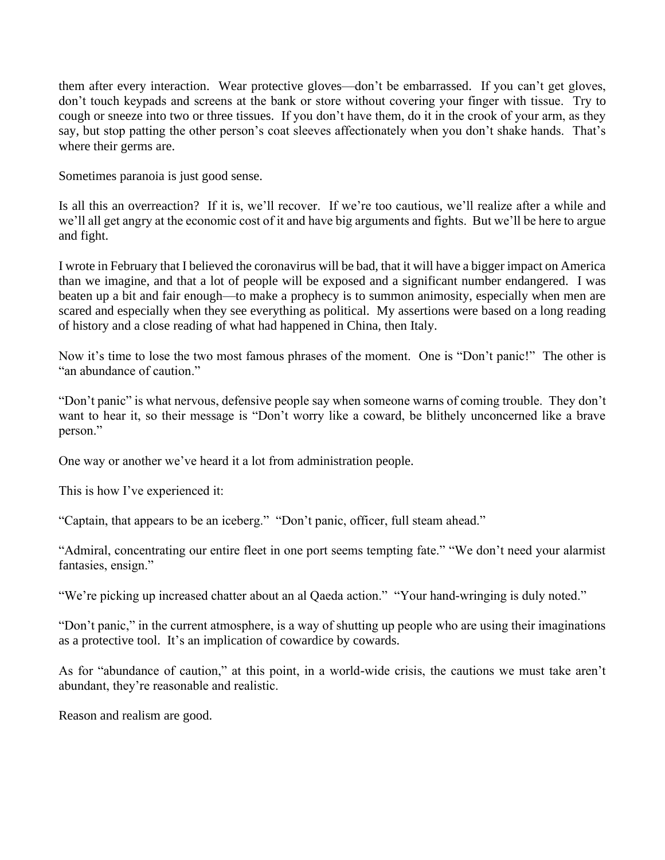them after every interaction. Wear protective gloves—don't be embarrassed. If you can't get gloves, don't touch keypads and screens at the bank or store without covering your finger with tissue. Try to cough or sneeze into two or three tissues. If you don't have them, do it in the crook of your arm, as they say, but stop patting the other person's coat sleeves affectionately when you don't shake hands. That's where their germs are.

Sometimes paranoia is just good sense.

Is all this an overreaction? If it is, we'll recover. If we're too cautious, we'll realize after a while and we'll all get angry at the economic cost of it and have big arguments and fights. But we'll be here to argue and fight.

I wrote in February that I believed the coronavirus will be bad, that it will have a bigger impact on America than we imagine, and that a lot of people will be exposed and a significant number endangered. I was beaten up a bit and fair enough—to make a prophecy is to summon animosity, especially when men are scared and especially when they see everything as political. My assertions were based on a long reading of history and a close reading of what had happened in China, then Italy.

Now it's time to lose the two most famous phrases of the moment. One is "Don't panic!" The other is "an abundance of caution."

"Don't panic" is what nervous, defensive people say when someone warns of coming trouble. They don't want to hear it, so their message is "Don't worry like a coward, be blithely unconcerned like a brave person."

One way or another we've heard it a lot from administration people.

This is how I've experienced it:

"Captain, that appears to be an iceberg." "Don't panic, officer, full steam ahead."

"Admiral, concentrating our entire fleet in one port seems tempting fate." "We don't need your alarmist fantasies, ensign."

"We're picking up increased chatter about an al Qaeda action." "Your hand-wringing is duly noted."

"Don't panic," in the current atmosphere, is a way of shutting up people who are using their imaginations as a protective tool. It's an implication of cowardice by cowards.

As for "abundance of caution," at this point, in a world-wide crisis, the cautions we must take aren't abundant, they're reasonable and realistic.

Reason and realism are good.